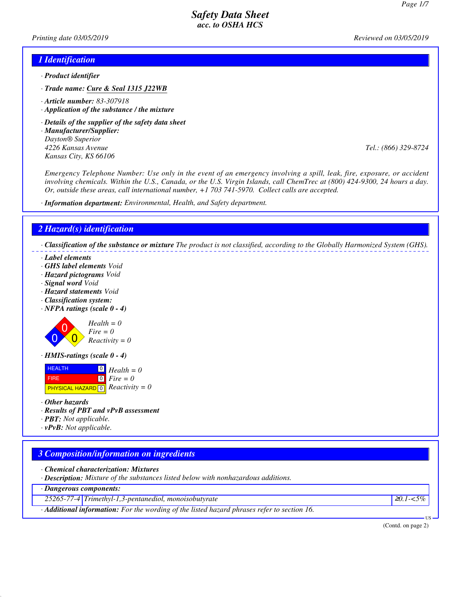*Printing date 03/05/2019 Reviewed on 03/05/2019*

### *1 Identification*

- *· Product identifier*
- *· Trade name: Cure & Seal 1315 J22WB*
- *· Article number: 83-307918*
- *· Application of the substance / the mixture*
- *· Details of the supplier of the safety data sheet*
- *· Manufacturer/Supplier: Dayton® Superior 4226 Kansas Avenue Tel.: (866) 329-8724 Kansas City, KS 66106*

*Emergency Telephone Number: Use only in the event of an emergency involving a spill, leak, fire, exposure, or accident involving chemicals. Within the U.S., Canada, or the U.S. Virgin Islands, call ChemTrec at (800) 424-9300, 24 hours a day. Or, outside these areas, call international number, +1 703 741-5970. Collect calls are accepted.*

*· Information department: Environmental, Health, and Safety department.*

### *2 Hazard(s) identification*

*· Classification of the substance or mixture The product is not classified, according to the Globally Harmonized System (GHS).*

- *· Label elements*
- *· GHS label elements Void*
- *· Hazard pictograms Void*
- *· Signal word Void*
- *· Hazard statements Void*
- *· Classification system:*
- *· NFPA ratings (scale 0 4)*



*· HMIS-ratings (scale 0 - 4)*

| <b>HEALTH</b>                                  | $\Box$ Health = 0                             |
|------------------------------------------------|-----------------------------------------------|
| FIRE.                                          | $\begin{bmatrix} 0 \\ \end{bmatrix}$ Fire = 0 |
| <b>PHYSICAL HAZARD</b> 0 <b>Reactivity</b> = 0 |                                               |

- *· Other hazards*
- *· Results of PBT and vPvB assessment*
- *· PBT: Not applicable.*
- *· vPvB: Not applicable.*

# *3 Composition/information on ingredients*

*· Chemical characterization: Mixtures*

*· Description: Mixture of the substances listed below with nonhazardous additions.*

*· Dangerous components:*

*25265-77-4 Trimethyl-1,3-pentanediol, monoisobutyrate* <sup>≥</sup>*0.1-<5%*

*· Additional information: For the wording of the listed hazard phrases refer to section 16.*

(Contd. on page 2)

US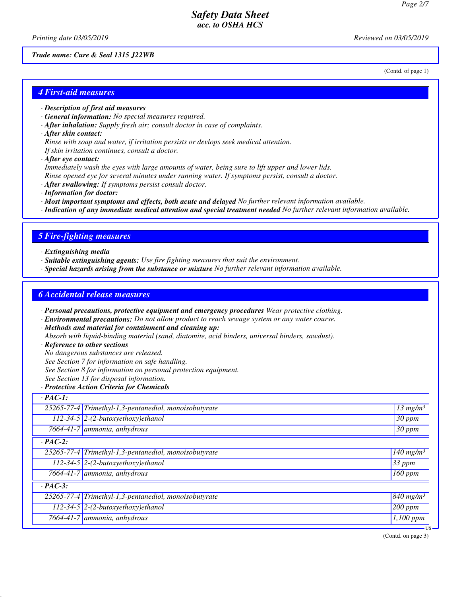*Printing date 03/05/2019 Reviewed on 03/05/2019*

(Contd. of page 1)

#### *Trade name: Cure & Seal 1315 J22WB*

*4 First-aid measures*

- *· Description of first aid measures*
- *· General information: No special measures required.*
- *· After inhalation: Supply fresh air; consult doctor in case of complaints.*
- *· After skin contact:*
- *Rinse with soap and water, if irritation persists or devlops seek medical attention.*
- *If skin irritation continues, consult a doctor.*
- *· After eye contact:*
- *Immediately wash the eyes with large amounts of water, being sure to lift upper and lower lids.*
- *Rinse opened eye for several minutes under running water. If symptoms persist, consult a doctor.*
- *· After swallowing: If symptoms persist consult doctor.*
- *· Information for doctor:*
- *· Most important symptoms and effects, both acute and delayed No further relevant information available.*
- *· Indication of any immediate medical attention and special treatment needed No further relevant information available.*

### *5 Fire-fighting measures*

- *· Extinguishing media*
- *· Suitable extinguishing agents: Use fire fighting measures that suit the environment.*
- *· Special hazards arising from the substance or mixture No further relevant information available.*

### *6 Accidental release measures*

*· Personal precautions, protective equipment and emergency procedures Wear protective clothing.*

- *· Environmental precautions: Do not allow product to reach sewage system or any water course.*
- *· Methods and material for containment and cleaning up:*
- *Absorb with liquid-binding material (sand, diatomite, acid binders, universal binders, sawdust).*
- *· Reference to other sections*
- *No dangerous substances are released.*
- *See Section 7 for information on safe handling.*
- *See Section 8 for information on personal protection equipment.*
- *See Section 13 for disposal information.*
- *· Protective Action Criteria for Chemicals*

### *· PAC-1:*

|                | 25265-77-4 Trimethyl-1,3-pentanediol, monoisobutyrate | $\sqrt{13}$ mg/m <sup>3</sup>      |  |  |
|----------------|-------------------------------------------------------|------------------------------------|--|--|
|                | $112-34-5$ 2-(2-butoxyethoxy)ethanol                  | $30$ ppm                           |  |  |
|                | 7664-41-7 ammonia, anhydrous                          | $30$ ppm                           |  |  |
| $\cdot$ PAC-2: |                                                       |                                    |  |  |
|                | 25265-77-4 Trimethyl-1,3-pentanediol, monoisobutyrate | $\overline{1}40$ mg/m <sup>3</sup> |  |  |
|                | $112-34-5$ 2-(2-butoxyethoxy)ethanol                  | 33 ppm                             |  |  |
|                | 7664-41-7 ammonia, anhydrous                          | 160 ppm                            |  |  |
| $\cdot$ PAC-3: |                                                       |                                    |  |  |
|                | 25265-77-4 Trimethyl-1,3-pentanediol, monoisobutyrate | $\sqrt{840}$ mg/m <sup>3</sup>     |  |  |
|                | $112-34-5$ 2-(2-butoxyethoxy)ethanol                  | $200$ ppm                          |  |  |
|                | $7664-41-7$ ammonia, anhydrous                        | $\overline{1,100}$ ppm             |  |  |
|                |                                                       |                                    |  |  |

(Contd. on page 3)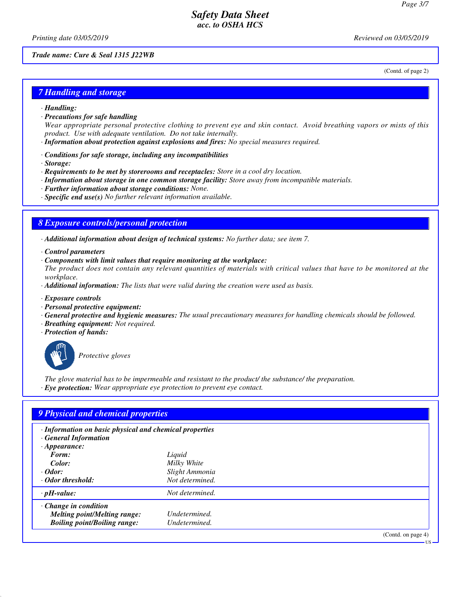*Printing date 03/05/2019 Reviewed on 03/05/2019*

(Contd. of page 2)

#### *Trade name: Cure & Seal 1315 J22WB*

*7 Handling and storage*

- *· Handling:*
- *· Precautions for safe handling*

*Wear appropriate personal protective clothing to prevent eye and skin contact. Avoid breathing vapors or mists of this product. Use with adequate ventilation. Do not take internally.*

- *· Information about protection against explosions and fires: No special measures required.*
- *· Conditions for safe storage, including any incompatibilities*
- *· Storage:*
- *· Requirements to be met by storerooms and receptacles: Store in a cool dry location.*
- *· Information about storage in one common storage facility: Store away from incompatible materials.*
- *· Further information about storage conditions: None.*
- *· Specific end use(s) No further relevant information available.*

### *8 Exposure controls/personal protection*

*· Additional information about design of technical systems: No further data; see item 7.*

- *· Control parameters*
- *· Components with limit values that require monitoring at the workplace:*

*The product does not contain any relevant quantities of materials with critical values that have to be monitored at the workplace.*

- *· Additional information: The lists that were valid during the creation were used as basis.*
- *· Exposure controls*
- *· Personal protective equipment:*
- *· General protective and hygienic measures: The usual precautionary measures for handling chemicals should be followed.*
- *· Breathing equipment: Not required.*
- *· Protection of hands:*



*Protective gloves*

*The glove material has to be impermeable and resistant to the product/ the substance/ the preparation. · Eye protection: Wear appropriate eye protection to prevent eye contact.*

# *9 Physical and chemical properties*

*· Information on basic physical and chemical properties*

*· General Information*

| $\cdot$ Appearance:                 |                 |                           |
|-------------------------------------|-----------------|---------------------------|
| Form:                               | Liquid          |                           |
| Color:                              | Milky White     |                           |
| $\cdot$ Odor:                       | Slight Ammonia  |                           |
| ⋅ Odor threshold:                   | Not determined. |                           |
| $\cdot$ pH-value:                   | Not determined. |                           |
| $\cdot$ Change in condition         |                 |                           |
| <b>Melting point/Melting range:</b> | Undetermined.   |                           |
| <b>Boiling point/Boiling range:</b> | Undetermined.   |                           |
|                                     |                 | $(0.0001)$ and $(0.0000)$ |

(Contd. on page 4)

US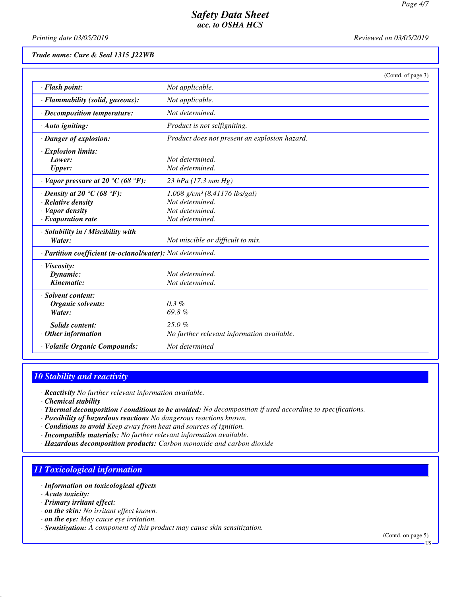*Printing date 03/05/2019 Reviewed on 03/05/2019*

### *Trade name: Cure & Seal 1315 J22WB*

|                                                                                                                          | (Contd. of page 3)                                                                                   |
|--------------------------------------------------------------------------------------------------------------------------|------------------------------------------------------------------------------------------------------|
| · Flash point:                                                                                                           | Not applicable.                                                                                      |
| · Flammability (solid, gaseous):                                                                                         | Not applicable.                                                                                      |
| · Decomposition temperature:                                                                                             | Not determined.                                                                                      |
| · Auto igniting:                                                                                                         | Product is not selfigniting.                                                                         |
| · Danger of explosion:                                                                                                   | Product does not present an explosion hazard.                                                        |
| · Explosion limits:<br>Lower:<br><b>Upper:</b>                                                                           | Not determined.<br>Not determined.                                                                   |
| $\cdot$ Vapor pressure at 20 °C (68 °F):                                                                                 | $23$ hPa (17.3 mm Hg)                                                                                |
| $\cdot$ Density at 20 $\degree$ C (68 $\degree$ F):<br>· Relative density<br>· Vapor density<br>$\cdot$ Evaporation rate | $1.008$ g/cm <sup>3</sup> (8.41176 lbs/gal)<br>Not determined.<br>Not determined.<br>Not determined. |
| · Solubility in / Miscibility with<br>Water:                                                                             | Not miscible or difficult to mix.                                                                    |
| · Partition coefficient (n-octanol/water): Not determined.                                                               |                                                                                                      |
| · Viscosity:<br>Dynamic:<br>Kinematic:                                                                                   | Not determined.<br>Not determined.                                                                   |
| · Solvent content:<br>Organic solvents:<br>Water:                                                                        | $0.3\%$<br>69.8%                                                                                     |
| Solids content:<br>$·$ Other information                                                                                 | 25.0%<br>No further relevant information available.                                                  |
| · Volatile Organic Compounds:                                                                                            | Not determined                                                                                       |

# *10 Stability and reactivity*

*· Reactivity No further relevant information available.*

- *· Chemical stability*
- *· Thermal decomposition / conditions to be avoided: No decomposition if used according to specifications.*
- *· Possibility of hazardous reactions No dangerous reactions known.*
- *· Conditions to avoid Keep away from heat and sources of ignition.*
- *· Incompatible materials: No further relevant information available.*
- *· Hazardous decomposition products: Carbon monoxide and carbon dioxide*

# *11 Toxicological information*

- *· Information on toxicological effects*
- *· Acute toxicity:*
- *· Primary irritant effect:*
- *· on the skin: No irritant effect known.*
- *· on the eye: May cause eye irritation.*
- *· Sensitization: A component of this product may cause skin sensitization.*

(Contd. on page 5) US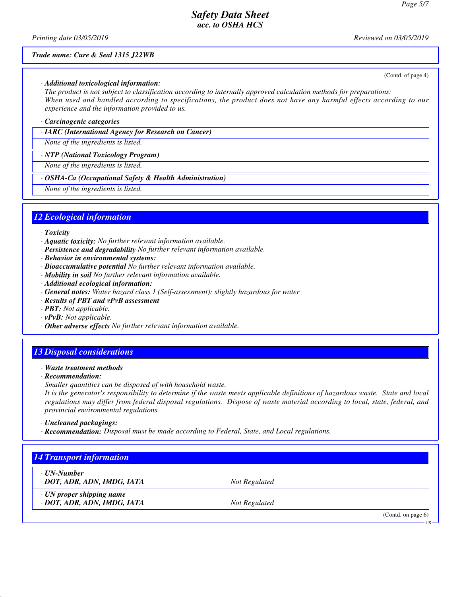(Contd. of page 4)

US

# *Safety Data Sheet acc. to OSHA HCS*

*Printing date 03/05/2019 Reviewed on 03/05/2019*

#### *Trade name: Cure & Seal 1315 J22WB*

#### *· Additional toxicological information:*

*The product is not subject to classification according to internally approved calculation methods for preparations: When used and handled according to specifications, the product does not have any harmful effects according to our experience and the information provided to us.*

#### *· Carcinogenic categories*

*· IARC (International Agency for Research on Cancer)*

*None of the ingredients is listed.*

#### *· NTP (National Toxicology Program)*

*None of the ingredients is listed.*

#### *· OSHA-Ca (Occupational Safety & Health Administration)*

*None of the ingredients is listed.*

### *12 Ecological information*

#### *· Toxicity*

- *· Aquatic toxicity: No further relevant information available.*
- *· Persistence and degradability No further relevant information available.*
- *· Behavior in environmental systems:*
- *· Bioaccumulative potential No further relevant information available.*
- *· Mobility in soil No further relevant information available.*
- *· Additional ecological information:*
- *· General notes: Water hazard class 1 (Self-assessment): slightly hazardous for water*
- *· Results of PBT and vPvB assessment*
- *· PBT: Not applicable.*
- *· vPvB: Not applicable.*
- *· Other adverse effects No further relevant information available.*

### *13 Disposal considerations*

- *· Waste treatment methods*
- *· Recommendation:*

*Smaller quantities can be disposed of with household waste.*

*It is the generator's responsibility to determine if the waste meets applicable definitions of hazardous waste. State and local regulations may differ from federal disposal regulations. Dispose of waste material according to local, state, federal, and provincial environmental regulations.*

*· Uncleaned packagings:*

*· Recommendation: Disposal must be made according to Federal, State, and Local regulations.*

# *14 Transport information · UN-Number <i>· DOT, ADR, ADN, IMDG, IATA Not Regulated · UN proper shipping name · DOT, ADR, ADN, IMDG, IATA Not Regulated* (Contd. on page 6)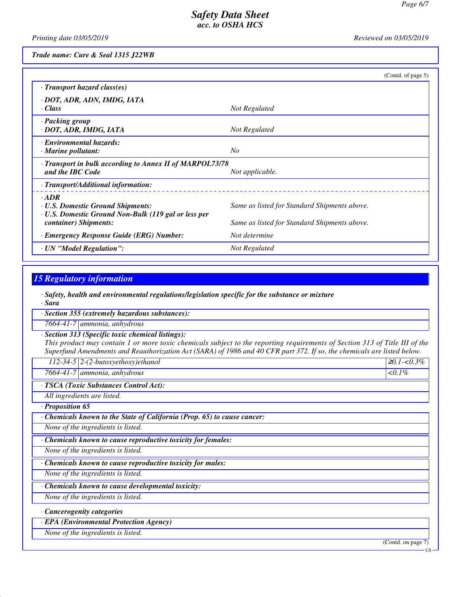*Printing date 03/05/2019 Reviewed on 03/05/2019*

*Trade name: Cure & Seal 1315 J22WB*

|                                                                                                          | (Cond. of page 5)                            |
|----------------------------------------------------------------------------------------------------------|----------------------------------------------|
| $\cdot$ Transport hazard class(es)                                                                       |                                              |
| · DOT, ADR, ADN, IMDG, IATA<br>· Class                                                                   | Not Regulated                                |
| · Packing group<br>· DOT, ADR, IMDG, IATA                                                                | Not Regulated                                |
| <b>Environmental hazards:</b><br>$\cdot$ Marine pollutant:                                               | $N_{O}$                                      |
| · Transport in bulk according to Annex II of MARPOL73/78<br>and the IBC Code                             | Not applicable.                              |
| · Transport/Additional information:                                                                      |                                              |
| $-ADR$<br><b>U.S. Domestic Ground Shipments:</b><br>· U.S. Domestic Ground Non-Bulk (119 gal or less per | Same as listed for Standard Shipments above. |
| container) Shipments:                                                                                    | Same as listed for Standard Shipments above. |
| · Emergency Response Guide (ERG) Number:                                                                 | Not determine                                |
| · UN "Model Regulation":                                                                                 | Not Regulated                                |

## *15 Regulatory information*

*· Safety, health and environmental regulations/legislation specific for the substance or mixture*

*· Sara*

*· Section 355 (extremely hazardous substances):*

*7664-41-7 ammonia, anhydrous*

*· Section 313 (Specific toxic chemical listings):*

*This product may contain 1 or more toxic chemicals subject to the reporting requirements of Section 313 of Title III of the Superfund Amendments and Reauthorization Act (SARA) of 1986 and 40 CFR part 372. If so, the chemicals are listed below.*

*112-34-5 2-(2-butoxyethoxy)ethanol* <sup>≥</sup>*0.1-<0.3%*

*7664-41-7 ammonia, anhydrous <0.1%*

*· TSCA (Toxic Substances Control Act):*

*All ingredients are listed.*

*· Proposition 65*

*· Chemicals known to the State of California (Prop. 65) to cause cancer:*

*None of the ingredients is listed.*

*· Chemicals known to cause reproductive toxicity for females:*

*None of the ingredients is listed.*

*· Chemicals known to cause reproductive toxicity for males:*

*None of the ingredients is listed.*

*· Chemicals known to cause developmental toxicity:*

*None of the ingredients is listed.*

*· Cancerogenity categories*

*· EPA (Environmental Protection Agency)*

*None of the ingredients is listed.*

(Contd. on page 7)

US